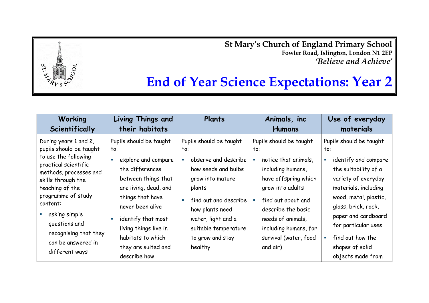**St Mary's Church of England Primary School Fowler Road, Islington, London N1 2EP** *'Believe and Achieve'*



| Working                                                                                                                                                                                                                                                                                                  | Living Things and                                                                                                                                                                                                                                                           | Plants                                                                                                                                                                                                                                | Animals, inc                                                                                                                                                                                                                                           | Use of everyday                                                                                                                                                                                                                                                                         |
|----------------------------------------------------------------------------------------------------------------------------------------------------------------------------------------------------------------------------------------------------------------------------------------------------------|-----------------------------------------------------------------------------------------------------------------------------------------------------------------------------------------------------------------------------------------------------------------------------|---------------------------------------------------------------------------------------------------------------------------------------------------------------------------------------------------------------------------------------|--------------------------------------------------------------------------------------------------------------------------------------------------------------------------------------------------------------------------------------------------------|-----------------------------------------------------------------------------------------------------------------------------------------------------------------------------------------------------------------------------------------------------------------------------------------|
| Scientifically                                                                                                                                                                                                                                                                                           | their habitats                                                                                                                                                                                                                                                              |                                                                                                                                                                                                                                       | <b>Humans</b>                                                                                                                                                                                                                                          | materials                                                                                                                                                                                                                                                                               |
| During years 1 and 2,<br>pupils should be taught<br>to use the following<br>practical scientific<br>methods, processes and<br>skills through the<br>teaching of the<br>programme of study<br>content:<br>asking simple<br>questions and<br>recognising that they<br>can be answered in<br>different ways | Pupils should be taught<br>to:<br>explore and compare<br>the differences<br>between things that<br>are living, dead, and<br>things that have<br>never been alive<br>identify that most<br>living things live in<br>habitats to which<br>they are suited and<br>describe how | Pupils should be taught<br>to:<br>observe and describe<br>how seeds and bulbs<br>grow into mature<br>plants<br>find out and describe<br>how plants need<br>water, light and a<br>suitable temperature<br>to grow and stay<br>healthy. | Pupils should be taught<br>to:<br>notice that animals,<br>including humans,<br>have offspring which<br>grow into adults<br>find out about and<br>describe the basic<br>needs of animals,<br>including humans, for<br>survival (water, food<br>and air) | Pupils should be taught<br>to:<br>identify and compare<br>the suitability of a<br>variety of everyday<br>materials, including<br>wood, metal, plastic,<br>glass, brick, rock,<br>paper and cardboard<br>for particular uses<br>find out how the<br>shapes of solid<br>objects made from |

 $ST$ .